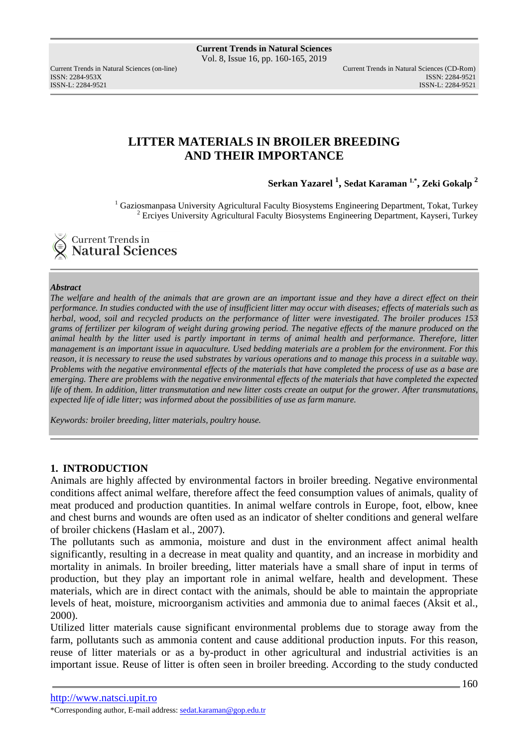ISSN: 2284-953XISSN: 2284-9521

Current Trends in Natural Sciences (on-line) Current Trends in Natural Sciences (CD-Rom) ISSN-L: 2284-9521

# **LITTER MATERIALS IN BROILER BREEDING AND THEIR IMPORTANCE**

**Serkan Yazarel <sup>1</sup> , Sedat Karaman 1.\* , Zeki Gokalp <sup>2</sup>**

<sup>1</sup> Gaziosmanpasa University Agricultural Faculty Biosystems Engineering Department, Tokat, Turkey <sup>2</sup> Erciyes University Agricultural Faculty Biosystems Engineering Department, Kayseri, Turkey

**Current Trends in Natural Sciences** 

#### *Abstract*

*The welfare and health of the animals that are grown are an important issue and they have a direct effect on their performance. In studies conducted with the use of insufficient litter may occur with diseases; effects of materials such as herbal, wood, soil and recycled products on the performance of litter were investigated. The broiler produces 153 grams of fertilizer per kilogram of weight during growing period. The negative effects of the manure produced on the animal health by the litter used is partly important in terms of animal health and performance. Therefore, litter management is an important issue in aquaculture. Used bedding materials are a problem for the environment. For this reason, it is necessary to reuse the used substrates by various operations and to manage this process in a suitable way. Problems with the negative environmental effects of the materials that have completed the process of use as a base are emerging. There are problems with the negative environmental effects of the materials that have completed the expected life of them. In addition, litter transmutation and new litter costs create an output for the grower. After transmutations, expected life of idle litter; was informed about the possibilities of use as farm manure.* 

*Keywords: broiler breeding, litter materials, poultry house.* 

### **1. INTRODUCTION**

Animals are highly affected by environmental factors in broiler breeding. Negative environmental conditions affect animal welfare, therefore affect the feed consumption values of animals, quality of meat produced and production quantities. In animal welfare controls in Europe, foot, elbow, knee and chest burns and wounds are often used as an indicator of shelter conditions and general welfare of broiler chickens (Haslam et al., 2007).

The pollutants such as ammonia, moisture and dust in the environment affect animal health significantly, resulting in a decrease in meat quality and quantity, and an increase in morbidity and mortality in animals. In broiler breeding, litter materials have a small share of input in terms of production, but they play an important role in animal welfare, health and development. These materials, which are in direct contact with the animals, should be able to maintain the appropriate levels of heat, moisture, microorganism activities and ammonia due to animal faeces (Aksit et al., 2000).

Utilized litter materials cause significant environmental problems due to storage away from the farm, pollutants such as ammonia content and cause additional production inputs. For this reason, reuse of litter materials or as a by-product in other agricultural and industrial activities is an important issue. Reuse of litter is often seen in broiler breeding. According to the study conducted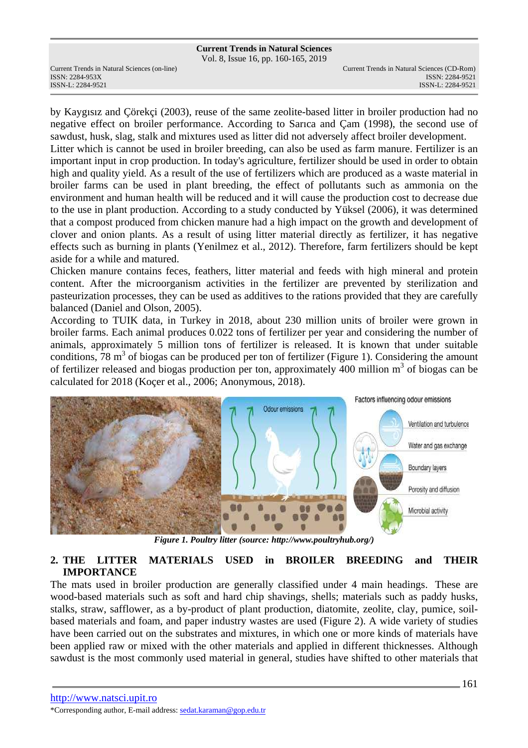Vol. 8, Issue 16, pp. 160-165, 2019

ISSN: 2284-953XISSN: 2284-9521

by Kaygısız and Çörekçi (2003), reuse of the same zeolite-based litter in broiler production had no negative effect on broiler performance. According to Sarıca and Çam (1998), the second use of sawdust, husk, slag, stalk and mixtures used as litter did not adversely affect broiler development.

Litter which is cannot be used in broiler breeding, can also be used as farm manure. Fertilizer is an important input in crop production. In today's agriculture, fertilizer should be used in order to obtain high and quality yield. As a result of the use of fertilizers which are produced as a waste material in broiler farms can be used in plant breeding, the effect of pollutants such as ammonia on the environment and human health will be reduced and it will cause the production cost to decrease due to the use in plant production. According to a study conducted by Yüksel (2006), it was determined that a compost produced from chicken manure had a high impact on the growth and development of clover and onion plants. As a result of using litter material directly as fertilizer, it has negative effects such as burning in plants (Yenilmez et al., 2012). Therefore, farm fertilizers should be kept aside for a while and matured.

Chicken manure contains feces, feathers, litter material and feeds with high mineral and protein content. After the microorganism activities in the fertilizer are prevented by sterilization and pasteurization processes, they can be used as additives to the rations provided that they are carefully balanced (Daniel and Olson, 2005).

According to TUIK data, in Turkey in 2018, about 230 million units of broiler were grown in broiler farms. Each animal produces 0.022 tons of fertilizer per year and considering the number of animals, approximately 5 million tons of fertilizer is released. It is known that under suitable conditions,  $78 \text{ m}^3$  of biogas can be produced per ton of fertilizer (Figure 1). Considering the amount of fertilizer released and biogas production per ton, approximately 400 million m<sup>3</sup> of biogas can be calculated for 2018 (Koçer et al., 2006; Anonymous, 2018).



*Figure 1. Poultry litter (source: http://www.poultryhub.org/)* 

## **2. THE LITTER MATERIALS USED in BROILER BREEDING and THEIR IMPORTANCE**

The mats used in broiler production are generally classified under 4 main headings. These are wood-based materials such as soft and hard chip shavings, shells; materials such as paddy husks, stalks, straw, safflower, as a by-product of plant production, diatomite, zeolite, clay, pumice, soilbased materials and foam, and paper industry wastes are used (Figure 2). A wide variety of studies have been carried out on the substrates and mixtures, in which one or more kinds of materials have been applied raw or mixed with the other materials and applied in different thicknesses. Although sawdust is the most commonly used material in general, studies have shifted to other materials that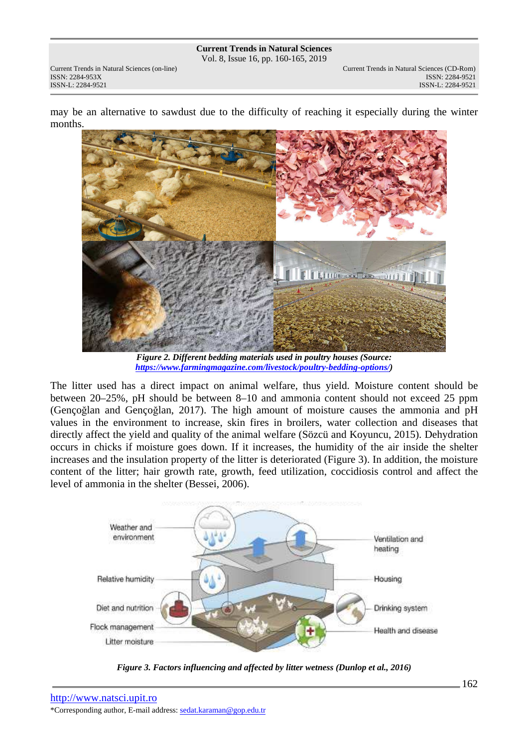**Current Trends in Natural Sciences** Vol. 8, Issue 16, pp. 160-165, 2019

ISSN: 2284-953XISSN: 2284-9521

Current Trends in Natural Sciences (on-line) Current Trends in Natural Sciences (CD-Rom) ISSN-L: 2284-9521

may be an alternative to sawdust due to the difficulty of reaching it especially during the winter months.



*Figure 2. Different bedding materials used in poultry houses (Source: https://www.farmingmagazine.com/livestock/poultry-bedding-options/)* 

The litter used has a direct impact on animal welfare, thus yield. Moisture content should be between 20–25%, pH should be between 8–10 and ammonia content should not exceed 25 ppm (Gençoğlan and Gençoğlan, 2017). The high amount of moisture causes the ammonia and pH values in the environment to increase, skin fires in broilers, water collection and diseases that directly affect the yield and quality of the animal welfare (Sözcü and Koyuncu, 2015). Dehydration occurs in chicks if moisture goes down. If it increases, the humidity of the air inside the shelter increases and the insulation property of the litter is deteriorated (Figure 3). In addition, the moisture content of the litter; hair growth rate, growth, feed utilization, coccidiosis control and affect the level of ammonia in the shelter (Bessei, 2006).



*Figure 3. Factors influencing and affected by litter wetness (Dunlop et al., 2016)*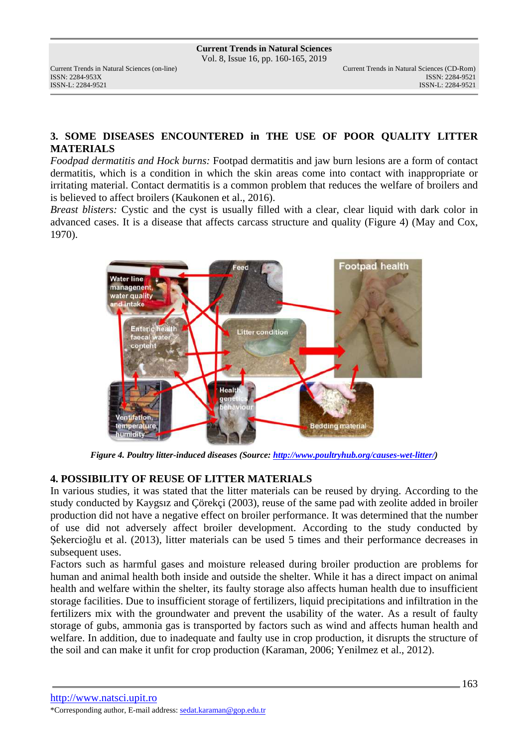ISSN: 2284-953XISSN: 2284-9521

## **3. SOME DISEASES ENCOUNTERED in THE USE OF POOR QUALITY LITTER MATERIALS**

*Foodpad dermatitis and Hock burns:* Footpad dermatitis and jaw burn lesions are a form of contact dermatitis, which is a condition in which the skin areas come into contact with inappropriate or irritating material. Contact dermatitis is a common problem that reduces the welfare of broilers and is believed to affect broilers (Kaukonen et al., 2016).

*Breast blisters:* Cystic and the cyst is usually filled with a clear, clear liquid with dark color in advanced cases. It is a disease that affects carcass structure and quality (Figure 4) (May and Cox, 1970).



*Figure 4. Poultry litter-induced diseases (Source: http://www.poultryhub.org/causes-wet-litter/)* 

### **4. POSSIBILITY OF REUSE OF LITTER MATERIALS**

In various studies, it was stated that the litter materials can be reused by drying. According to the study conducted by Kaygsız and Çörekçi (2003), reuse of the same pad with zeolite added in broiler production did not have a negative effect on broiler performance. It was determined that the number of use did not adversely affect broiler development. According to the study conducted by Şekercioğlu et al. (2013), litter materials can be used 5 times and their performance decreases in subsequent uses.

Factors such as harmful gases and moisture released during broiler production are problems for human and animal health both inside and outside the shelter. While it has a direct impact on animal health and welfare within the shelter, its faulty storage also affects human health due to insufficient storage facilities. Due to insufficient storage of fertilizers, liquid precipitations and infiltration in the fertilizers mix with the groundwater and prevent the usability of the water. As a result of faulty storage of gubs, ammonia gas is transported by factors such as wind and affects human health and welfare. In addition, due to inadequate and faulty use in crop production, it disrupts the structure of the soil and can make it unfit for crop production (Karaman, 2006; Yenilmez et al., 2012).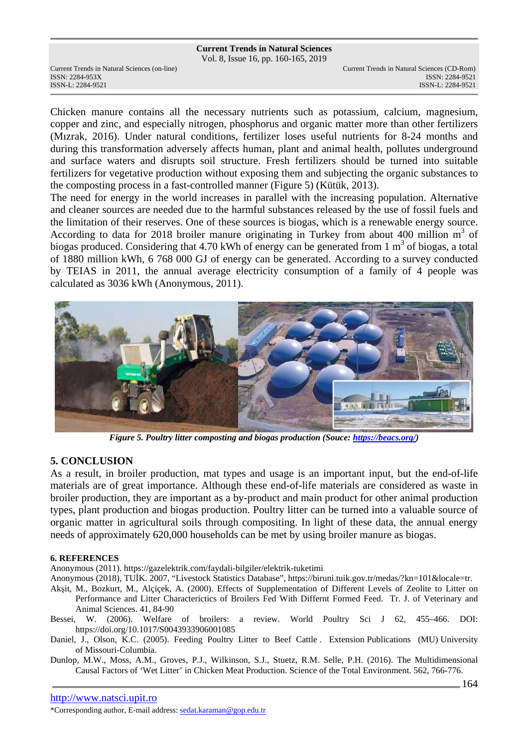#### **Current Trends in Natural Sciences**

Vol. 8, Issue 16, pp. 160-165, 2019

Current Trends in Natural Sciences (on-line) Current Trends in Natural Sciences (CD-Rom) ISSN: 2284-953XISSN: 2284-9521

Chicken manure contains all the necessary nutrients such as potassium, calcium, magnesium, copper and zinc, and especially nitrogen, phosphorus and organic matter more than other fertilizers (Mızrak, 2016). Under natural conditions, fertilizer loses useful nutrients for 8-24 months and during this transformation adversely affects human, plant and animal health, pollutes underground and surface waters and disrupts soil structure. Fresh fertilizers should be turned into suitable fertilizers for vegetative production without exposing them and subjecting the organic substances to the composting process in a fast-controlled manner (Figure 5) (Kütük, 2013).

The need for energy in the world increases in parallel with the increasing population. Alternative and cleaner sources are needed due to the harmful substances released by the use of fossil fuels and the limitation of their reserves. One of these sources is biogas, which is a renewable energy source. According to data for 2018 broiler manure originating in Turkey from about 400 million  $m^3$  of biogas produced. Considering that 4.70 kWh of energy can be generated from  $1 \text{ m}^3$  of biogas, a total of 1880 million kWh, 6 768 000 GJ of energy can be generated. According to a survey conducted by TEIAS in 2011, the annual average electricity consumption of a family of 4 people was calculated as 3036 kWh (Anonymous, 2011).



*Figure 5. Poultry litter composting and biogas production (Souce: https://beacs.org/)* 

### **5. CONCLUSION**

As a result, in broiler production, mat types and usage is an important input, but the end-of-life materials are of great importance. Although these end-of-life materials are considered as waste in broiler production, they are important as a by-product and main product for other animal production types, plant production and biogas production. Poultry litter can be turned into a valuable source of organic matter in agricultural soils through compositing. In light of these data, the annual energy needs of approximately 620,000 households can be met by using broiler manure as biogas.

#### **6. REFERENCES**

Anonymous (2011). https://gazelektrik.com/faydali-bilgiler/elektrik-tuketimi

Anonymous (2018), TUİK. 2007, "Livestock Statistics Database", https://biruni.tuik.gov.tr/medas/?kn=101&locale=tr.

- Akşit, M., Bozkurt, M., Alçiçek, A. (2000). Effects of Supplementation of Different Levels of Zeolite to Litter on Performance and Litter Characterictics of Broilers Fed With Differnt Formed Feed. Tr. J. of Veterinary and Animal Sciences. 41, 84-90
- Bessei, W. (2006). Welfare of broilers: a review. World Poultry Sci J 62, 455–466. DOI: https://doi.org/10.1017/S0043933906001085
- Daniel, J., Olson, K.C. (2005). Feeding Poultry Litter to Beef Cattle . Extension Publications (MU) University of Missouri-Columbia.

Dunlop, M.W., Moss, A.M., Groves, P.J., Wilkinson, S.J., Stuetz, R.M. Selle, P.H. (2016). The Multidimensional Causal Factors of 'Wet Litter' in Chicken Meat Production. Science of the Total Environment. 562, 766-776.